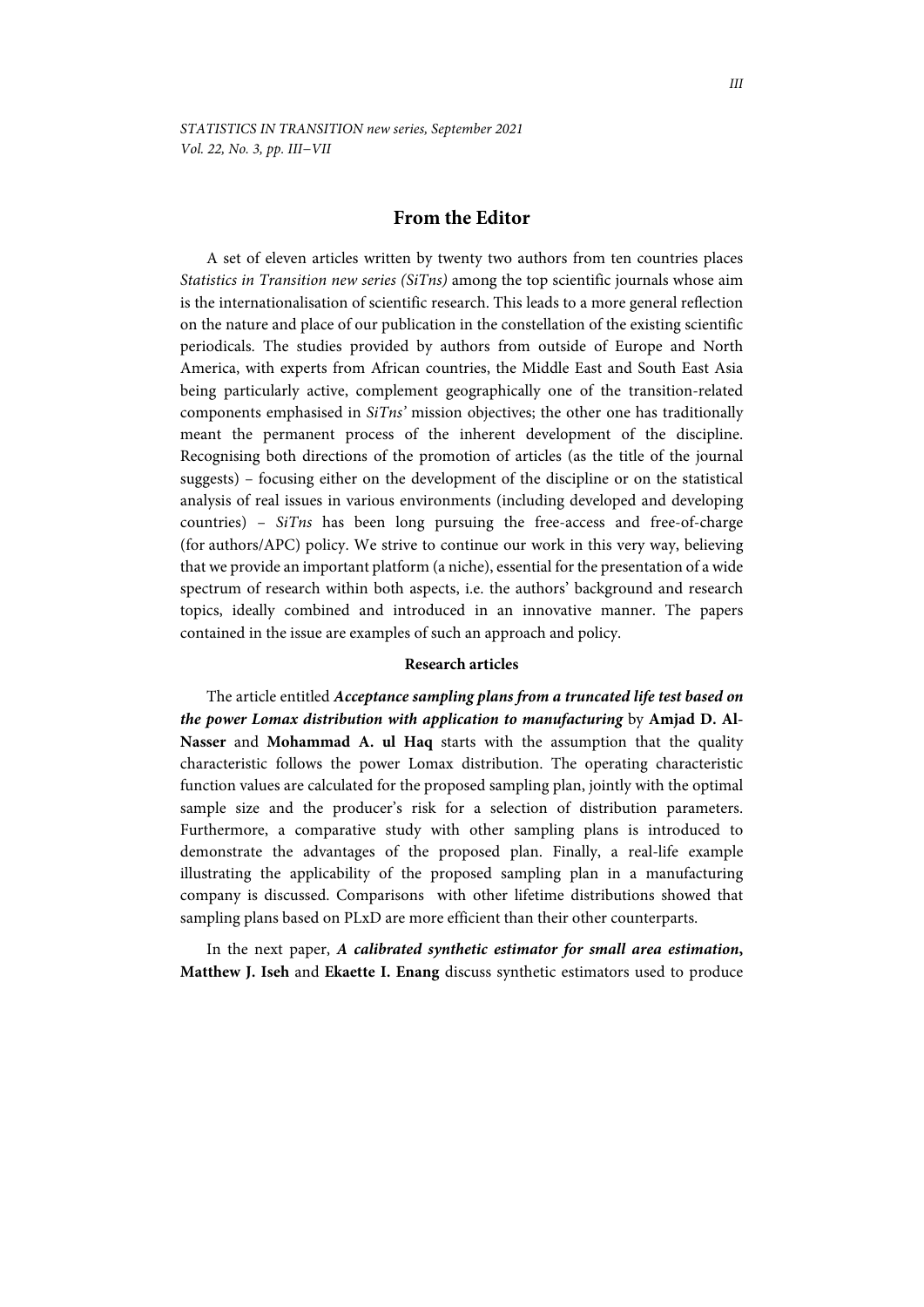# **From the Editor**

A set of eleven articles written by twenty two authors from ten countries places *Statistics in Transition new series (SiTns)* among the top scientific journals whose aim is the internationalisation of scientific research. This leads to a more general reflection on the nature and place of our publication in the constellation of the existing scientific periodicals. The studies provided by authors from outside of Europe and North America, with experts from African countries, the Middle East and South East Asia being particularly active, complement geographically one of the transition-related components emphasised in *SiTns'* mission objectives; the other one has traditionally meant the permanent process of the inherent development of the discipline. Recognising both directions of the promotion of articles (as the title of the journal suggests) – focusing either on the development of the discipline or on the statistical analysis of real issues in various environments (including developed and developing countries) – *SiTns* has been long pursuing the free-access and free-of-charge (for authors/APC) policy. We strive to continue our work in this very way, believing that we provide an important platform (a niche), essential for the presentation of a wide spectrum of research within both aspects, i.e. the authors' background and research topics, ideally combined and introduced in an innovative manner. The papers contained in the issue are examples of such an approach and policy.

### **Research articles**

The article entitled *Acceptance sampling plans from a truncated life test based on the power Lomax distribution with application to manufacturing* by **Amjad D. Al-Nasser** and **Mohammad A. ul Haq** starts with the assumption that the quality characteristic follows the power Lomax distribution. The operating characteristic function values are calculated for the proposed sampling plan, jointly with the optimal sample size and the producer's risk for a selection of distribution parameters. Furthermore, a comparative study with other sampling plans is introduced to demonstrate the advantages of the proposed plan. Finally, a real-life example illustrating the applicability of the proposed sampling plan in a manufacturing company is discussed. Comparisons with other lifetime distributions showed that sampling plans based on PLxD are more efficient than their other counterparts.

In the next paper, *A calibrated synthetic estimator for small area estimation***, Matthew J. Iseh** and **Ekaette I. Enang** discuss synthetic estimators used to produce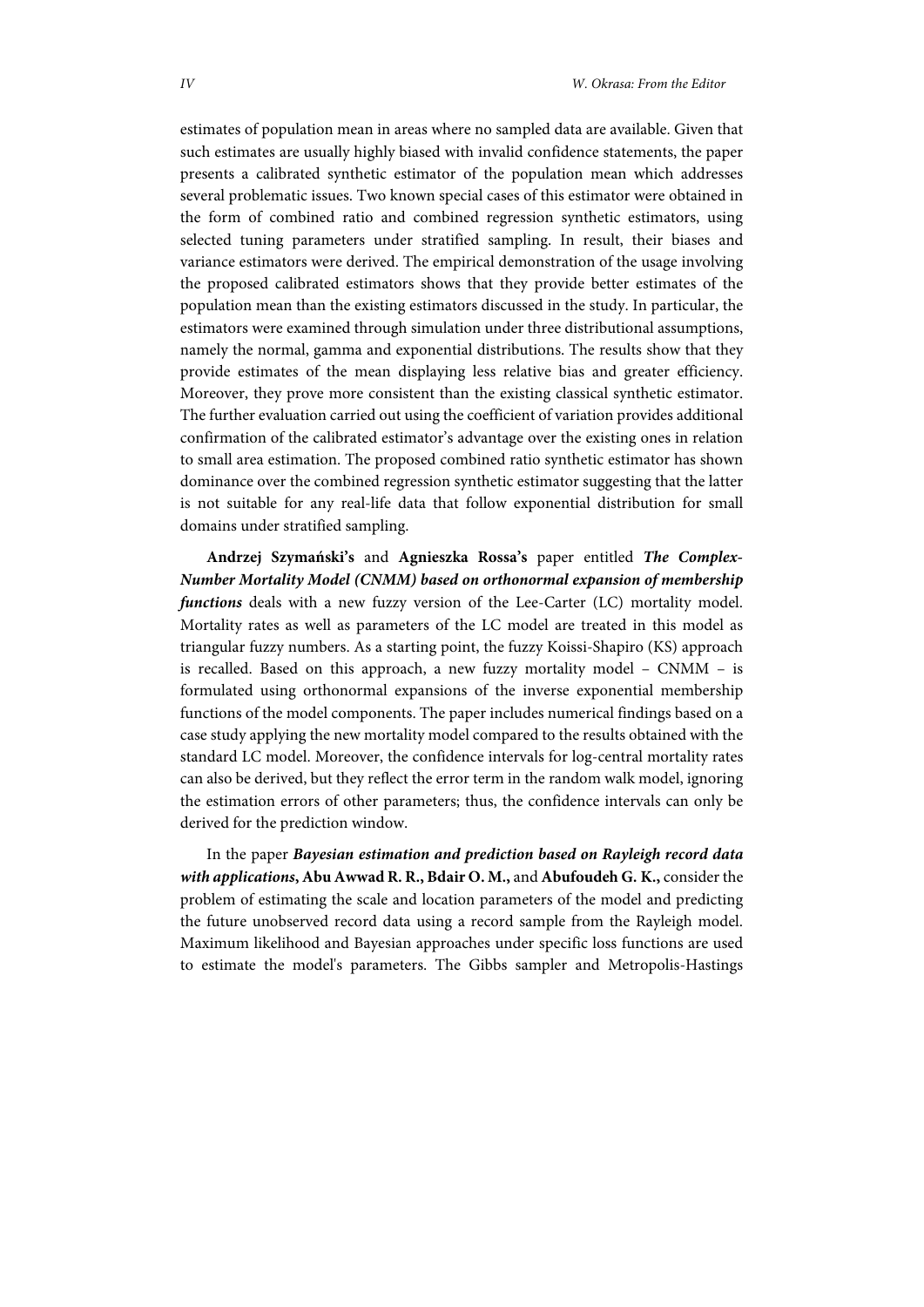estimates of population mean in areas where no sampled data are available. Given that such estimates are usually highly biased with invalid confidence statements, the paper presents a calibrated synthetic estimator of the population mean which addresses several problematic issues. Two known special cases of this estimator were obtained in the form of combined ratio and combined regression synthetic estimators, using selected tuning parameters under stratified sampling. In result, their biases and variance estimators were derived. The empirical demonstration of the usage involving the proposed calibrated estimators shows that they provide better estimates of the population mean than the existing estimators discussed in the study. In particular, the estimators were examined through simulation under three distributional assumptions, namely the normal, gamma and exponential distributions. The results show that they provide estimates of the mean displaying less relative bias and greater efficiency. Moreover, they prove more consistent than the existing classical synthetic estimator. The further evaluation carried out using the coefficient of variation provides additional confirmation of the calibrated estimator's advantage over the existing ones in relation to small area estimation. The proposed combined ratio synthetic estimator has shown dominance over the combined regression synthetic estimator suggesting that the latter is not suitable for any real-life data that follow exponential distribution for small domains under stratified sampling.

**Andrzej Szymański's** and **Agnieszka Rossa's** paper entitled *The Complex-Number Mortality Model (CNMM) based on orthonormal expansion of membership functions* deals with a new fuzzy version of the Lee-Carter (LC) mortality model. Mortality rates as well as parameters of the LC model are treated in this model as triangular fuzzy numbers. As a starting point, the fuzzy Koissi-Shapiro (KS) approach is recalled. Based on this approach, a new fuzzy mortality model – CNMM – is formulated using orthonormal expansions of the inverse exponential membership functions of the model components. The paper includes numerical findings based on a case study applying the new mortality model compared to the results obtained with the standard LC model. Moreover, the confidence intervals for log-central mortality rates can also be derived, but they reflect the error term in the random walk model, ignoring the estimation errors of other parameters; thus, the confidence intervals can only be derived for the prediction window.

In the paper *Bayesian estimation and prediction based on Rayleigh record data with applications***, Abu Awwad R. R., Bdair O. M.,** and **Abufoudeh G. K.,** consider the problem of estimating the scale and location parameters of the model and predicting the future unobserved record data using a record sample from the Rayleigh model. Maximum likelihood and Bayesian approaches under specific loss functions are used to estimate the model's parameters. The Gibbs sampler and Metropolis-Hastings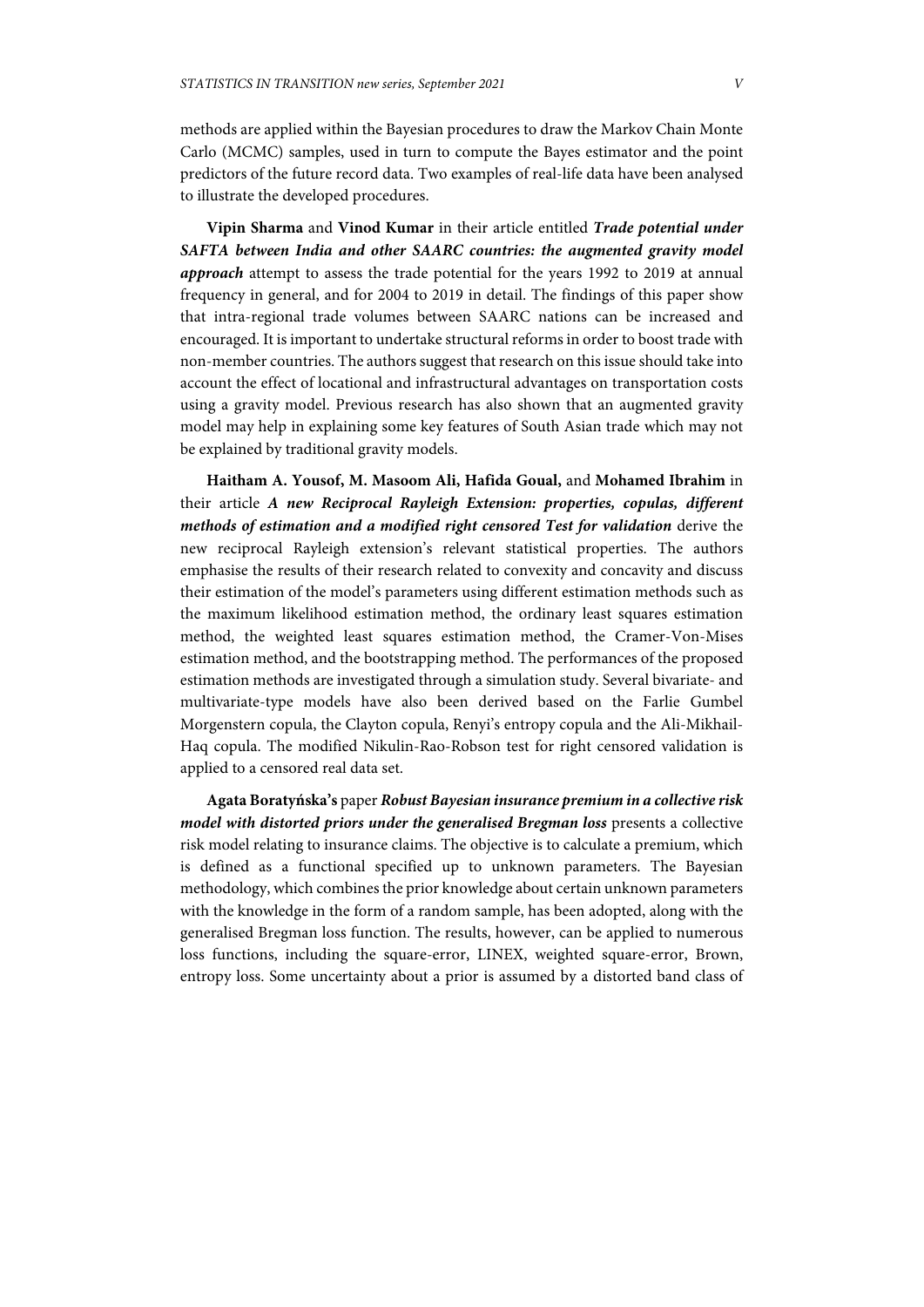methods are applied within the Bayesian procedures to draw the Markov Chain Monte Carlo (MCMC) samples, used in turn to compute the Bayes estimator and the point predictors of the future record data. Two examples of real-life data have been analysed to illustrate the developed procedures.

**Vipin Sharma** and **Vinod Kumar** in their article entitled *Trade potential under SAFTA between India and other SAARC countries: the augmented gravity model approach* attempt to assess the trade potential for the years 1992 to 2019 at annual frequency in general, and for 2004 to 2019 in detail. The findings of this paper show that intra-regional trade volumes between SAARC nations can be increased and encouraged. It is important to undertake structural reforms in order to boost trade with non-member countries. The authors suggest that research on this issue should take into account the effect of locational and infrastructural advantages on transportation costs using a gravity model. Previous research has also shown that an augmented gravity model may help in explaining some key features of South Asian trade which may not be explained by traditional gravity models.

**Haitham A. Yousof, M. Masoom Ali, Hafida Goual,** and **Mohamed Ibrahim** in their article *A new Reciprocal Rayleigh Extension: properties, copulas, different methods of estimation and a modified right censored Test for validation* derive the new reciprocal Rayleigh extension's relevant statistical properties. The authors emphasise the results of their research related to convexity and concavity and discuss their estimation of the model's parameters using different estimation methods such as the maximum likelihood estimation method, the ordinary least squares estimation method, the weighted least squares estimation method, the Cramer-Von-Mises estimation method, and the bootstrapping method. The performances of the proposed estimation methods are investigated through a simulation study. Several bivariate- and multivariate-type models have also been derived based on the Farlie Gumbel Morgenstern copula, the Clayton copula, Renyi's entropy copula and the Ali-Mikhail-Haq copula. The modified Nikulin-Rao-Robson test for right censored validation is applied to a censored real data set.

**Agata Boratyńska's** paper *Robust Bayesian insurance premium in a collective risk model with distorted priors under the generalised Bregman loss* presents a collective risk model relating to insurance claims. The objective is to calculate a premium, which is defined as a functional specified up to unknown parameters. The Bayesian methodology, which combines the prior knowledge about certain unknown parameters with the knowledge in the form of a random sample, has been adopted, along with the generalised Bregman loss function. The results, however, can be applied to numerous loss functions, including the square-error, LINEX, weighted square-error, Brown, entropy loss. Some uncertainty about a prior is assumed by a distorted band class of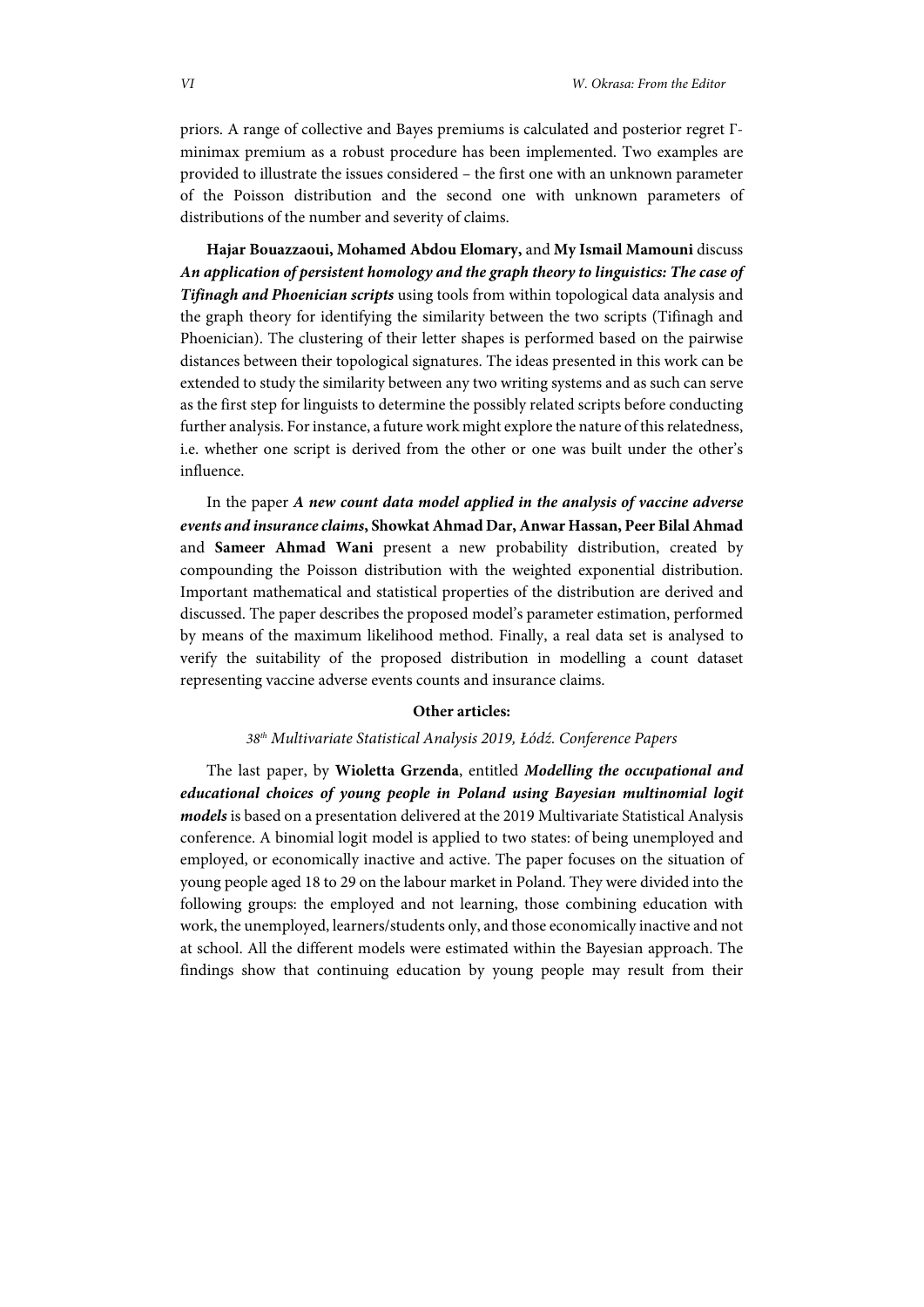priors. A range of collective and Bayes premiums is calculated and posterior regret Γminimax premium as a robust procedure has been implemented. Two examples are provided to illustrate the issues considered – the first one with an unknown parameter of the Poisson distribution and the second one with unknown parameters of distributions of the number and severity of claims.

**Hajar Bouazzaoui, Mohamed Abdou Elomary,** and **My Ismail Mamouni** discuss *An application of persistent homology and the graph theory to linguistics: The case of Tifinagh and Phoenician scripts* using tools from within topological data analysis and the graph theory for identifying the similarity between the two scripts (Tifinagh and Phoenician). The clustering of their letter shapes is performed based on the pairwise distances between their topological signatures. The ideas presented in this work can be extended to study the similarity between any two writing systems and as such can serve as the first step for linguists to determine the possibly related scripts before conducting further analysis. For instance, a future work might explore the nature of this relatedness, i.e. whether one script is derived from the other or one was built under the other's influence.

In the paper *A new count data model applied in the analysis of vaccine adverse events and insurance claims***, Showkat Ahmad Dar, Anwar Hassan, Peer Bilal Ahmad**  and **Sameer Ahmad Wani** present a new probability distribution, created by compounding the Poisson distribution with the weighted exponential distribution. Important mathematical and statistical properties of the distribution are derived and discussed. The paper describes the proposed model's parameter estimation, performed by means of the maximum likelihood method. Finally, a real data set is analysed to verify the suitability of the proposed distribution in modelling a count dataset representing vaccine adverse events counts and insurance claims.

#### **Other articles:**

## *38th Multivariate Statistical Analysis 2019, Łódź. Conference Papers*

The last paper, by **Wioletta Grzenda**, entitled *Modelling the occupational and educational choices of young people in Poland using Bayesian multinomial logit models* is based on a presentation delivered at the 2019 Multivariate Statistical Analysis conference. A binomial logit model is applied to two states: of being unemployed and employed, or economically inactive and active. The paper focuses on the situation of young people aged 18 to 29 on the labour market in Poland. They were divided into the following groups: the employed and not learning, those combining education with work, the unemployed, learners/students only, and those economically inactive and not at school. All the different models were estimated within the Bayesian approach. The findings show that continuing education by young people may result from their